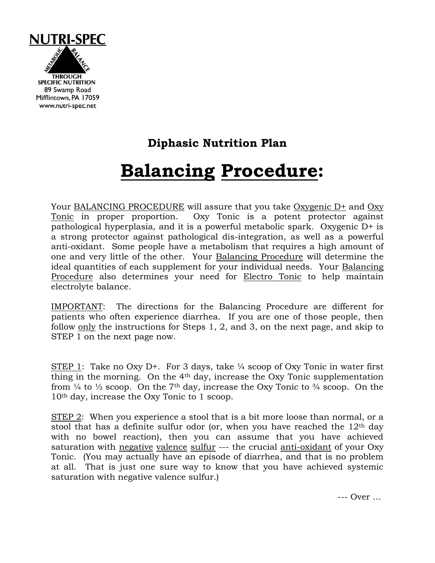

## **Diphasic Nutrition Plan**

## **Balancing Procedure:**

Your BALANCING PROCEDURE will assure that you take Oxygenic D+ and Oxy Tonic in proper proportion. Oxy Tonic is a potent protector against pathological hyperplasia, and it is a powerful metabolic spark. Oxygenic D+ is a strong protector against pathological dis-integration, as well as a powerful anti-oxidant. Some people have a metabolism that requires a high amount of one and very little of the other. Your Balancing Procedure will determine the ideal quantities of each supplement for your individual needs. Your Balancing Procedure also determines your need for Electro Tonic to help maintain electrolyte balance.

IMPORTANT: The directions for the Balancing Procedure are different for patients who often experience diarrhea. If you are one of those people, then follow only the instructions for Steps 1, 2, and 3, on the next page, and skip to STEP 1 on the next page now.

STEP 1: Take no Oxy D+. For 3 days, take  $\frac{1}{4}$  scoop of Oxy Tonic in water first thing in the morning. On the 4th day, increase the Oxy Tonic supplementation from  $\frac{1}{4}$  to  $\frac{1}{2}$  scoop. On the 7<sup>th</sup> day, increase the Oxy Tonic to  $\frac{3}{4}$  scoop. On the 10th day, increase the Oxy Tonic to 1 scoop.

STEP 2: When you experience a stool that is a bit more loose than normal, or a stool that has a definite sulfur odor (or, when you have reached the  $12<sup>th</sup>$  day with no bowel reaction), then you can assume that you have achieved saturation with negative valence sulfur --- the crucial anti-oxidant of your Oxy Tonic. (You may actually have an episode of diarrhea, and that is no problem at all. That is just one sure way to know that you have achieved systemic saturation with negative valence sulfur.)

--- Over …